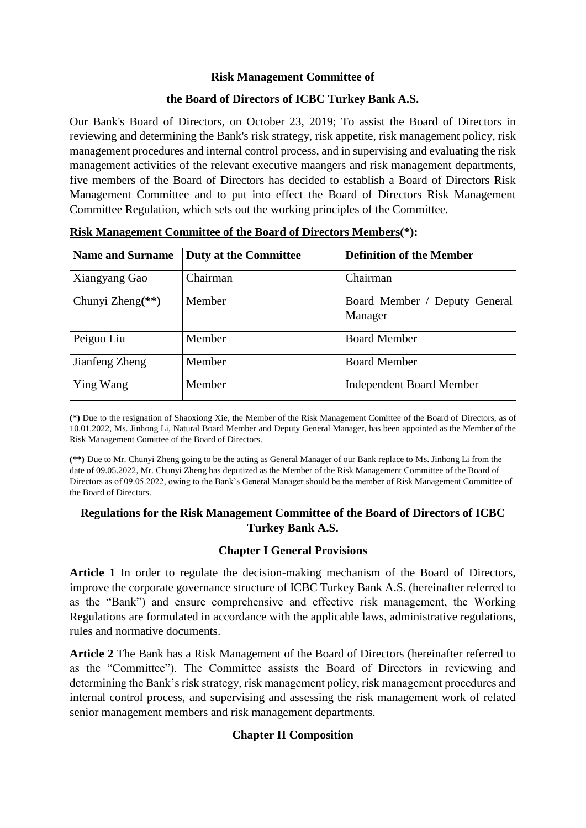#### **Risk Management Committee of**

#### **the Board of Directors of ICBC Turkey Bank A.S.**

Our Bank's Board of Directors, on October 23, 2019; To assist the Board of Directors in reviewing and determining the Bank's risk strategy, risk appetite, risk management policy, risk management procedures and internal control process, and in supervising and evaluating the risk management activities of the relevant executive maangers and risk management departments, five members of the Board of Directors has decided to establish a Board of Directors Risk Management Committee and to put into effect the Board of Directors Risk Management Committee Regulation, which sets out the working principles of the Committee.

| <b>Name and Surname</b> | <b>Duty at the Committee</b> | <b>Definition of the Member</b>          |
|-------------------------|------------------------------|------------------------------------------|
| Xiangyang Gao           | Chairman                     | Chairman                                 |
| Chunyi Zheng $(**)$     | Member                       | Board Member / Deputy General<br>Manager |
| Peiguo Liu              | Member                       | <b>Board Member</b>                      |
| Jianfeng Zheng          | Member                       | <b>Board Member</b>                      |
| Ying Wang               | Member                       | <b>Independent Board Member</b>          |

**Risk Management Committee of the Board of Directors Members(\*):**

**(\*)** Due to the resignation of Shaoxiong Xie, the Member of the Risk Management Comittee of the Board of Directors, as of 10.01.2022, Ms. Jinhong Li, Natural Board Member and Deputy General Manager, has been appointed as the Member of the Risk Management Comittee of the Board of Directors.

**(\*\*)** Due to Mr. Chunyi Zheng going to be the acting as General Manager of our Bank replace to Ms. Jinhong Li from the date of 09.05.2022, Mr. Chunyi Zheng has deputized as the Member of the Risk Management Committee of the Board of Directors as of 09.05.2022, owing to the Bank's General Manager should be the member of Risk Management Committee of the Board of Directors.

## **Regulations for the Risk Management Committee of the Board of Directors of ICBC Turkey Bank A.S.**

#### **Chapter I General Provisions**

**Article 1** In order to regulate the decision-making mechanism of the Board of Directors, improve the corporate governance structure of ICBC Turkey Bank A.S. (hereinafter referred to as the "Bank") and ensure comprehensive and effective risk management, the Working Regulations are formulated in accordance with the applicable laws, administrative regulations, rules and normative documents.

**Article 2** The Bank has a Risk Management of the Board of Directors (hereinafter referred to as the "Committee"). The Committee assists the Board of Directors in reviewing and determining the Bank's risk strategy, risk management policy, risk management procedures and internal control process, and supervising and assessing the risk management work of related senior management members and risk management departments.

## **Chapter II Composition**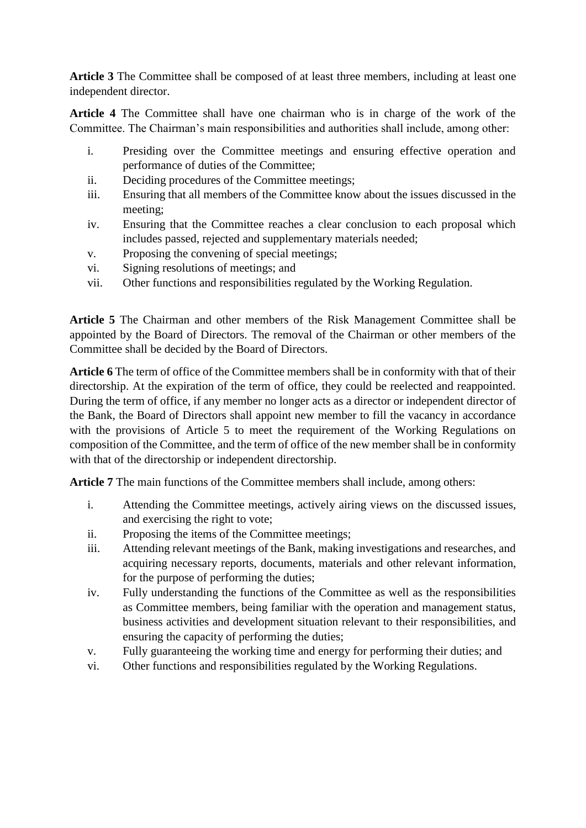**Article 3** The Committee shall be composed of at least three members, including at least one independent director.

**Article 4** The Committee shall have one chairman who is in charge of the work of the Committee. The Chairman's main responsibilities and authorities shall include, among other:

- i. Presiding over the Committee meetings and ensuring effective operation and performance of duties of the Committee;
- ii. Deciding procedures of the Committee meetings;
- iii. Ensuring that all members of the Committee know about the issues discussed in the meeting;
- iv. Ensuring that the Committee reaches a clear conclusion to each proposal which includes passed, rejected and supplementary materials needed;
- v. Proposing the convening of special meetings;
- vi. Signing resolutions of meetings; and
- vii. Other functions and responsibilities regulated by the Working Regulation.

**Article 5** The Chairman and other members of the Risk Management Committee shall be appointed by the Board of Directors. The removal of the Chairman or other members of the Committee shall be decided by the Board of Directors.

**Article 6** The term of office of the Committee members shall be in conformity with that of their directorship. At the expiration of the term of office, they could be reelected and reappointed. During the term of office, if any member no longer acts as a director or independent director of the Bank, the Board of Directors shall appoint new member to fill the vacancy in accordance with the provisions of Article 5 to meet the requirement of the Working Regulations on composition of the Committee, and the term of office of the new member shall be in conformity with that of the directorship or independent directorship.

**Article 7** The main functions of the Committee members shall include, among others:

- i. Attending the Committee meetings, actively airing views on the discussed issues, and exercising the right to vote;
- ii. Proposing the items of the Committee meetings;
- iii. Attending relevant meetings of the Bank, making investigations and researches, and acquiring necessary reports, documents, materials and other relevant information, for the purpose of performing the duties;
- iv. Fully understanding the functions of the Committee as well as the responsibilities as Committee members, being familiar with the operation and management status, business activities and development situation relevant to their responsibilities, and ensuring the capacity of performing the duties;
- v. Fully guaranteeing the working time and energy for performing their duties; and
- vi. Other functions and responsibilities regulated by the Working Regulations.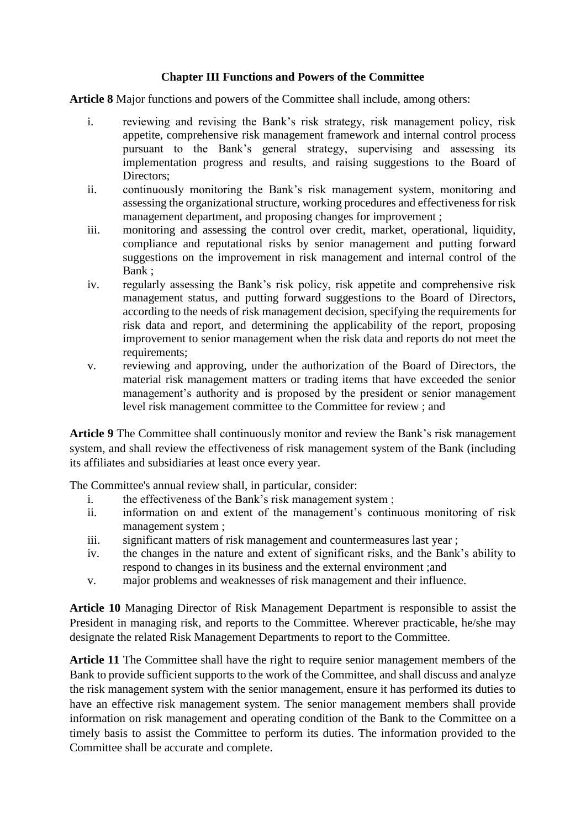## **Chapter III Functions and Powers of the Committee**

**Article 8** Major functions and powers of the Committee shall include, among others:

- i. reviewing and revising the Bank's risk strategy, risk management policy, risk appetite, comprehensive risk management framework and internal control process pursuant to the Bank's general strategy, supervising and assessing its implementation progress and results, and raising suggestions to the Board of Directors;
- ii. continuously monitoring the Bank's risk management system, monitoring and assessing the organizational structure, working procedures and effectiveness for risk management department, and proposing changes for improvement ;
- iii. monitoring and assessing the control over credit, market, operational, liquidity, compliance and reputational risks by senior management and putting forward suggestions on the improvement in risk management and internal control of the Bank ;
- iv. regularly assessing the Bank's risk policy, risk appetite and comprehensive risk management status, and putting forward suggestions to the Board of Directors, according to the needs of risk management decision, specifying the requirements for risk data and report, and determining the applicability of the report, proposing improvement to senior management when the risk data and reports do not meet the requirements;
- v. reviewing and approving, under the authorization of the Board of Directors, the material risk management matters or trading items that have exceeded the senior management's authority and is proposed by the president or senior management level risk management committee to the Committee for review ; and

**Article 9** The Committee shall continuously monitor and review the Bank's risk management system, and shall review the effectiveness of risk management system of the Bank (including its affiliates and subsidiaries at least once every year.

The Committee's annual review shall, in particular, consider:

- i. the effectiveness of the Bank's risk management system ;
- ii. information on and extent of the management's continuous monitoring of risk management system ;
- iii. significant matters of risk management and countermeasures last year ;
- iv. the changes in the nature and extent of significant risks, and the Bank's ability to respond to changes in its business and the external environment ;and
- v. major problems and weaknesses of risk management and their influence.

**Article 10** Managing Director of Risk Management Department is responsible to assist the President in managing risk, and reports to the Committee. Wherever practicable, he/she may designate the related Risk Management Departments to report to the Committee.

**Article 11** The Committee shall have the right to require senior management members of the Bank to provide sufficient supports to the work of the Committee, and shall discuss and analyze the risk management system with the senior management, ensure it has performed its duties to have an effective risk management system. The senior management members shall provide information on risk management and operating condition of the Bank to the Committee on a timely basis to assist the Committee to perform its duties. The information provided to the Committee shall be accurate and complete.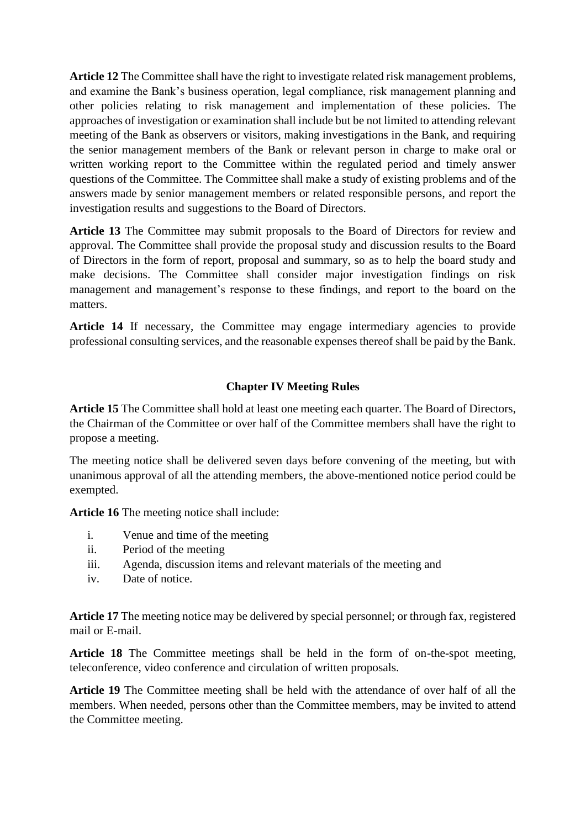**Article 12** The Committee shall have the right to investigate related risk management problems, and examine the Bank's business operation, legal compliance, risk management planning and other policies relating to risk management and implementation of these policies. The approaches of investigation or examination shall include but be not limited to attending relevant meeting of the Bank as observers or visitors, making investigations in the Bank, and requiring the senior management members of the Bank or relevant person in charge to make oral or written working report to the Committee within the regulated period and timely answer questions of the Committee. The Committee shall make a study of existing problems and of the answers made by senior management members or related responsible persons, and report the investigation results and suggestions to the Board of Directors.

**Article 13** The Committee may submit proposals to the Board of Directors for review and approval. The Committee shall provide the proposal study and discussion results to the Board of Directors in the form of report, proposal and summary, so as to help the board study and make decisions. The Committee shall consider major investigation findings on risk management and management's response to these findings, and report to the board on the matters.

Article 14 If necessary, the Committee may engage intermediary agencies to provide professional consulting services, and the reasonable expenses thereof shall be paid by the Bank.

## **Chapter IV Meeting Rules**

**Article 15** The Committee shall hold at least one meeting each quarter. The Board of Directors, the Chairman of the Committee or over half of the Committee members shall have the right to propose a meeting.

The meeting notice shall be delivered seven days before convening of the meeting, but with unanimous approval of all the attending members, the above-mentioned notice period could be exempted.

**Article 16** The meeting notice shall include:

- i. Venue and time of the meeting
- ii. Period of the meeting
- iii. Agenda, discussion items and relevant materials of the meeting and
- iv. Date of notice.

**Article 17** The meeting notice may be delivered by special personnel; or through fax, registered mail or E-mail.

**Article 18** The Committee meetings shall be held in the form of on-the-spot meeting, teleconference, video conference and circulation of written proposals.

**Article 19** The Committee meeting shall be held with the attendance of over half of all the members. When needed, persons other than the Committee members, may be invited to attend the Committee meeting.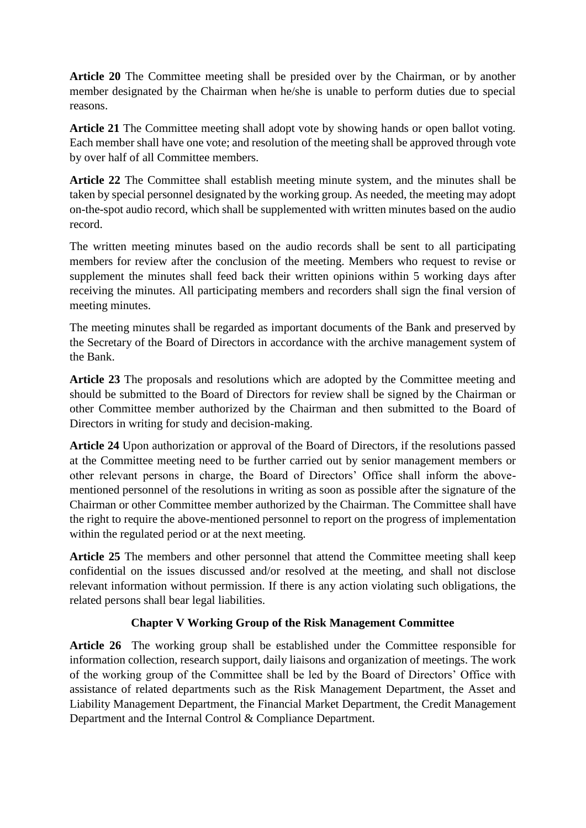**Article 20** The Committee meeting shall be presided over by the Chairman, or by another member designated by the Chairman when he/she is unable to perform duties due to special reasons.

**Article 21** The Committee meeting shall adopt vote by showing hands or open ballot voting. Each member shall have one vote; and resolution of the meeting shall be approved through vote by over half of all Committee members.

**Article 22** The Committee shall establish meeting minute system, and the minutes shall be taken by special personnel designated by the working group. As needed, the meeting may adopt on-the-spot audio record, which shall be supplemented with written minutes based on the audio record.

The written meeting minutes based on the audio records shall be sent to all participating members for review after the conclusion of the meeting. Members who request to revise or supplement the minutes shall feed back their written opinions within 5 working days after receiving the minutes. All participating members and recorders shall sign the final version of meeting minutes.

The meeting minutes shall be regarded as important documents of the Bank and preserved by the Secretary of the Board of Directors in accordance with the archive management system of the Bank.

**Article 23** The proposals and resolutions which are adopted by the Committee meeting and should be submitted to the Board of Directors for review shall be signed by the Chairman or other Committee member authorized by the Chairman and then submitted to the Board of Directors in writing for study and decision-making.

**Article 24** Upon authorization or approval of the Board of Directors, if the resolutions passed at the Committee meeting need to be further carried out by senior management members or other relevant persons in charge, the Board of Directors' Office shall inform the abovementioned personnel of the resolutions in writing as soon as possible after the signature of the Chairman or other Committee member authorized by the Chairman. The Committee shall have the right to require the above-mentioned personnel to report on the progress of implementation within the regulated period or at the next meeting.

**Article 25** The members and other personnel that attend the Committee meeting shall keep confidential on the issues discussed and/or resolved at the meeting, and shall not disclose relevant information without permission. If there is any action violating such obligations, the related persons shall bear legal liabilities.

# **Chapter V Working Group of the Risk Management Committee**

**Article 26** The working group shall be established under the Committee responsible for information collection, research support, daily liaisons and organization of meetings. The work of the working group of the Committee shall be led by the Board of Directors' Office with assistance of related departments such as the Risk Management Department, the Asset and Liability Management Department, the Financial Market Department, the Credit Management Department and the Internal Control & Compliance Department.